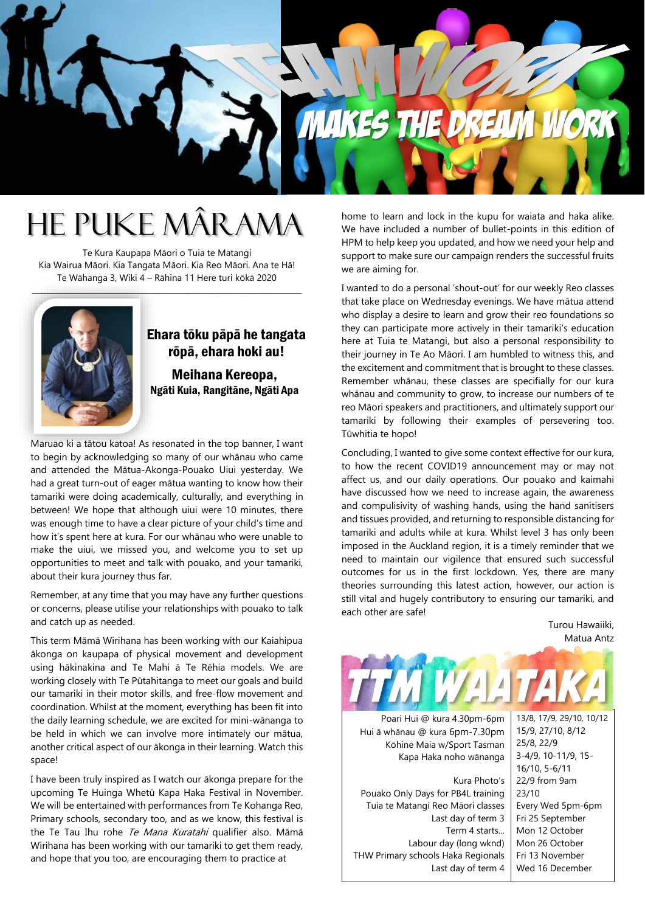

## He Puke Mârama

Te Kura Kaupapa Māori o Tuia te Matangi Kia Wairua Māori. Kia Tangata Māori. Kia Reo Māori. Ana te Hā! Te Wāhanga 3, Wiki 4 – Rāhina 11 Here turi kōkā 2020

 $\mathcal{L} = \{ \mathcal{L} \mid \mathcal{L} \in \mathcal{L} \}$  , where  $\mathcal{L} = \{ \mathcal{L} \mid \mathcal{L} \in \mathcal{L} \}$  , where  $\mathcal{L} = \{ \mathcal{L} \mid \mathcal{L} \in \mathcal{L} \}$ 



### Ehara tōku pāpā he tangata rōpā, ehara hoki au!

Meihana Kereopa, Ngāti Kuia, Rangitāne, Ngāti Apa

Maruao ki a tātou katoa! As resonated in the top banner, I want to begin by acknowledging so many of our whānau who came and attended the Mātua-Akonga-Pouako Uiui yesterday. We had a great turn-out of eager mātua wanting to know how their tamariki were doing academically, culturally, and everything in between! We hope that although uiui were 10 minutes, there was enough time to have a clear picture of your child's time and how it's spent here at kura. For our whānau who were unable to make the uiui, we missed you, and welcome you to set up opportunities to meet and talk with pouako, and your tamariki, about their kura journey thus far.

Remember, at any time that you may have any further questions or concerns, please utilise your relationships with pouako to talk and catch up as needed.

This term Māmā Wirihana has been working with our Kaiahipua ākonga on kaupapa of physical movement and development using hākinakina and Te Mahi ā Te Rēhia models. We are working closely with Te Pūtahitanga to meet our goals and build our tamariki in their motor skills, and free-flow movement and coordination. Whilst at the moment, everything has been fit into the daily learning schedule, we are excited for mini-wānanga to be held in which we can involve more intimately our mātua, another critical aspect of our ākonga in their learning. Watch this space!

I have been truly inspired as I watch our ākonga prepare for the upcoming Te Huinga Whetū Kapa Haka Festival in November. We will be entertained with performances from Te Kohanga Reo, Primary schools, secondary too, and as we know, this festival is the Te Tau Ihu rohe Te Mana Kuratahi qualifier also. Māmā Wirihana has been working with our tamariki to get them ready, and hope that you too, are encouraging them to practice at

home to learn and lock in the kupu for waiata and haka alike. We have included a number of bullet-points in this edition of HPM to help keep you updated, and how we need your help and support to make sure our campaign renders the successful fruits we are aiming for.

I wanted to do a personal 'shout-out' for our weekly Reo classes that take place on Wednesday evenings. We have mātua attend who display a desire to learn and grow their reo foundations so they can participate more actively in their tamariki's education here at Tuia te Matangi, but also a personal responsibility to their journey in Te Ao Māori. I am humbled to witness this, and the excitement and commitment that is brought to these classes. Remember whānau, these classes are specifially for our kura whānau and community to grow, to increase our numbers of te reo Māori speakers and practitioners, and ultimately support our tamariki by following their examples of persevering too. Tūwhitia te hopo!

Concluding, I wanted to give some context effective for our kura, to how the recent COVID19 announcement may or may not affect us, and our daily operations. Our pouako and kaimahi have discussed how we need to increase again, the awareness and compulisivity of washing hands, using the hand sanitisers and tissues provided, and returning to responsible distancing for tamariki and adults while at kura. Whilst level 3 has only been imposed in the Auckland region, it is a timely reminder that we need to maintain our vigilence that ensured such successful outcomes for us in the first lockdown. Yes, there are many theories surrounding this latest action, however, our action is still vital and hugely contributory to ensuring our tamariki, and each other are safe!

> Turou Hawaiiki, Matua Antz

Poari Hui @ kura 4.30pm-6pm Hui ā whānau @ kura 6pm-7.30pm Kōhine Maia w/Sport Tasman Kapa Haka noho wānanga

Kura Photo's Pouako Only Days for PB4L training Tuia te Matangi Reo Māori classes Last day of term 3 Term 4 starts... Labour day (long wknd) THW Primary schools Haka Regionals Last day of term 4

13/8, 17/9, 29/10, 10/12 15/9, 27/10, 8/12 25/8, 22/9 3-4/9, 10-11/9, 15- 16/10, 5-6/11 22/9 from 9am 23/10 Every Wed 5pm-6pm Fri 25 September Mon 12 October Mon 26 October Fri 13 November Wed 16 December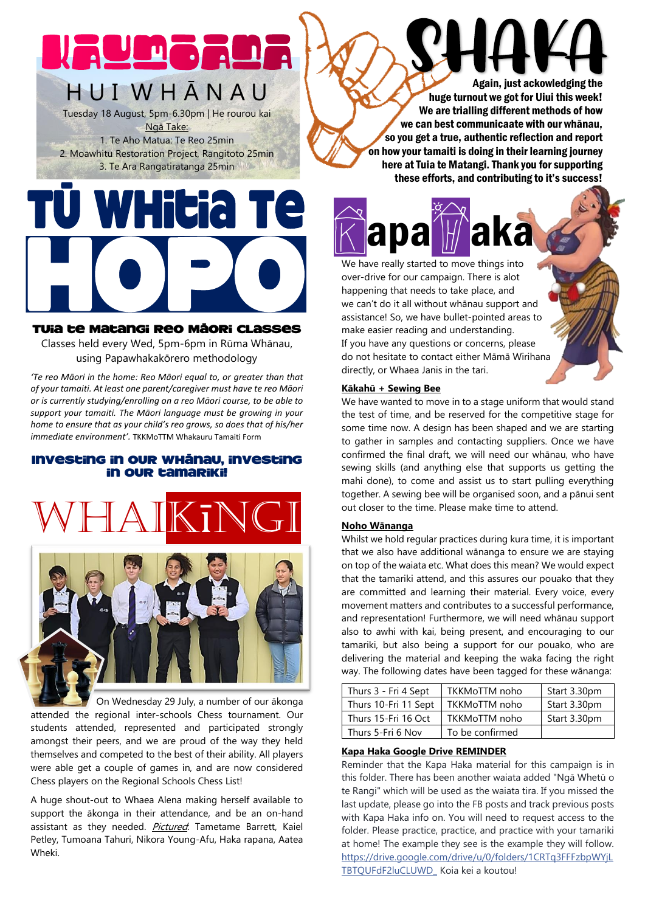# H U I W H Ā N A U

Tuesday 18 August, 5pm-6.30pm | He rourou kai Ngā Take: 1. Te Aho Matua: Te Reo 25min 2. Moawhitu Restoration Project, Rangitoto 25min 3. Te Ara Rangatiratanga 25min

#### Tuia te Matangi Reo Māori Classes

Classes held every Wed, 5pm-6pm in Rūma Whānau, using Papawhakakōrero methodology

*'Te reo Māori in the home: Reo Māori equal to, or greater than that of your tamaiti. At least one parent/caregiver must have te reo Māori or is currently studying/enrolling on a reo Māori course, to be able to support your tamaiti. The Māori language must be growing in your home to ensure that as your child's reo grows, so does that of his/her immediate environment'.* TKKMoTTM Whakauru Tamaiti Form

#### Investing in our whānau, investing in our tamariki!





 On Wednesday 29 July, a number of our ākonga attended the regional inter-schools Chess tournament. Our students attended, represented and participated strongly amongst their peers, and we are proud of the way they held themselves and competed to the best of their ability. All players were able get a couple of games in, and are now considered Chess players on the Regional Schools Chess List!

A huge shout-out to Whaea Alena making herself available to support the ākonga in their attendance, and be an on-hand assistant as they needed. Pictured: Tametame Barrett, Kaiel Petley, Tumoana Tahuri, Nikora Young-Afu, Haka rapana, Aatea Wheki.

Again, just ackowledging the huge turnout we got for Uiui this week! We are trialling different methods of how we can best communicaate with our whānau, so you get a true, authentic reflection and report on how your tamaiti is doing in their learning journey here at Tuia te Matangi. Thank you for supporting these efforts, and contributing to it's success!

**Kapa Maka** We have really started to move things into over-drive for our campaign. There is alot happening that needs to take place, and we can't do it all without whānau support and assistance! So, we have bullet-pointed areas to make easier reading and understanding. If you have any questions or concerns, please do not hesitate to contact either Māmā Wirihana directly, or Whaea Janis in the tari.

#### **Kākahū + Sewing Bee**

We have wanted to move in to a stage uniform that would stand the test of time, and be reserved for the competitive stage for some time now. A design has been shaped and we are starting to gather in samples and contacting suppliers. Once we have confirmed the final draft, we will need our whānau, who have sewing skills (and anything else that supports us getting the mahi done), to come and assist us to start pulling everything together. A sewing bee will be organised soon, and a pānui sent out closer to the time. Please make time to attend.

#### **Noho Wānanga**

Whilst we hold regular practices during kura time, it is important that we also have additional wānanga to ensure we are staying on top of the waiata etc. What does this mean? We would expect that the tamariki attend, and this assures our pouako that they are committed and learning their material. Every voice, every movement matters and contributes to a successful performance, and representation! Furthermore, we will need whānau support also to awhi with kai, being present, and encouraging to our tamariki, but also being a support for our pouako, who are delivering the material and keeping the waka facing the right way. The following dates have been tagged for these wānanga:

| Thurs 3 - Fri 4 Sept | TKKMoTTM noho   | Start 3.30pm |
|----------------------|-----------------|--------------|
| Thurs 10-Fri 11 Sept | TKKMoTTM noho   | Start 3.30pm |
| Thurs 15-Fri 16 Oct  | TKKMoTTM noho   | Start 3.30pm |
| Thurs 5-Fri 6 Nov    | To be confirmed |              |

#### **Kapa Haka Google Drive REMINDER**

Reminder that the Kapa Haka material for this campaign is in this folder. There has been another waiata added "Ngā Whetū o te Rangi" which will be used as the waiata tira. If you missed the last update, please go into the FB posts and track previous posts with Kapa Haka info on. You will need to request access to the folder. Please practice, practice, and practice with your tamariki at home! The example they see is the example they will follow. [https://drive.google.com/drive/u/0/folders/1CRTq3FFFzbpWYjL](https://drive.google.com/drive/u/0/folders/1CRTq3FFFzbpWYjLTBTQUFdF2luCLUWD_?fbclid=IwAR123-q_x94rZeXV84_4WvPwR3vmumz2_6NxTvl_Nx_B6E-XBjGuDQl9Gzw) [TBTQUFdF2luCLUWD\\_](https://drive.google.com/drive/u/0/folders/1CRTq3FFFzbpWYjLTBTQUFdF2luCLUWD_?fbclid=IwAR123-q_x94rZeXV84_4WvPwR3vmumz2_6NxTvl_Nx_B6E-XBjGuDQl9Gzw) Koia kei a koutou!